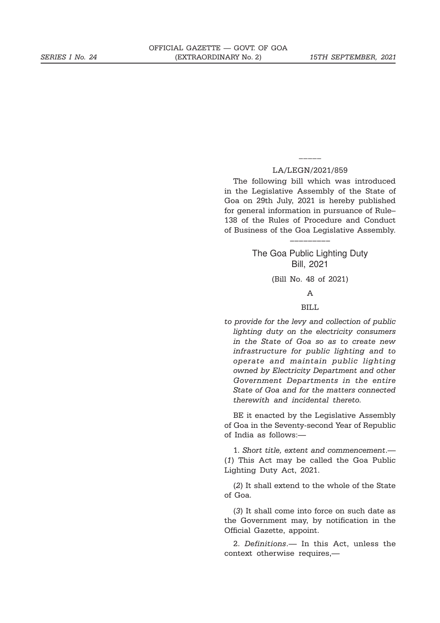#### LA/LEGN/2021/859

 $\overline{\phantom{a}}$ 

The following bill which was introduced in the Legislative Assembly of the State of Goa on 29th July, 2021 is hereby published for general information in pursuance of Rule– 138 of the Rules of Procedure and Conduct of Business of the Goa Legislative Assembly.

# The Goa Public Lighting Duty Bill, 2021

–––––––––

(Bill No. 48 of 2021)

A

## BILL

*to provide for the levy and collection of public lighting duty on the electricity consumers in the State of Goa so as to create new infrastructure for public lighting and to operate and maintain public lighting owned by Electricity Department and other Government Departments in the entire State of Goa and for the matters connected therewith and incidental thereto.*

BE it enacted by the Legislative Assembly of Goa in the Seventy-second Year of Republic of India as follows:—

1. *Short title, extent and commencement*.— (*1*) This Act may be called the Goa Public Lighting Duty Act, 2021.

(*2*) It shall extend to the whole of the State of Goa.

(*3*) It shall come into force on such date as the Government may, by notification in the Official Gazette, appoint.

2. *Definitions*.— In this Act, unless the context otherwise requires,—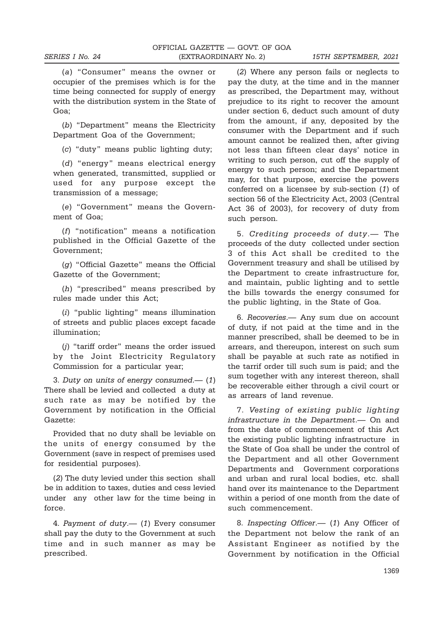(*a*) "Consumer" means the owner or occupier of the premises which is for the time being connected for supply of energy with the distribution system in the State of Goa;

(*b*) "Department" means the Electricity Department Goa of the Government;

(*c*) "duty" means public lighting duty;

(*d*) "energy" means electrical energy when generated, transmitted, supplied or used for any purpose except the transmission of a message;

(*e*) "Government" means the Government of Goa;

(*f*) "notification" means a notification published in the Official Gazette of the Government;

(*g*) "Official Gazette" means the Official Gazette of the Government;

(*h*) "prescribed" means prescribed by rules made under this Act;

(*i*) "public lighting" means illumination of streets and public places except facade illumination;

(*j*) "tariff order" means the order issued by the Joint Electricity Regulatory Commission for a particular year;

3. *Duty on units of energy consumed*.— (*1*) There shall be levied and collected a duty at such rate as may be notified by the Government by notification in the Official Gazette:

Provided that no duty shall be leviable on the units of energy consumed by the Government (save in respect of premises used for residential purposes).

(*2*) The duty levied under this section shall be in addition to taxes, duties and cess levied under any other law for the time being in force.

4. *Payment of duty*.— (*1*) Every consumer shall pay the duty to the Government at such time and in such manner as may be prescribed.

(*2*) Where any person fails or neglects to pay the duty, at the time and in the manner as prescribed, the Department may, without prejudice to its right to recover the amount under section 6, deduct such amount of duty from the amount, if any, deposited by the consumer with the Department and if such amount cannot be realized then, after giving not less than fifteen clear days' notice in writing to such person, cut off the supply of energy to such person; and the Department may, for that purpose, exercise the powers conferred on a licensee by sub-section (*1*) of section 56 of the Electricity Act, 2003 (Central Act 36 of 2003), for recovery of duty from such person.

5. *Crediting proceeds of duty*.— The proceeds of the duty collected under section 3 of this Act shall be credited to the Government treasury and shall be utilised by the Department to create infrastructure for, and maintain, public lighting and to settle the bills towards the energy consumed for the public lighting, in the State of Goa.

6. *Recoveries*.— Any sum due on account of duty, if not paid at the time and in the manner prescribed, shall be deemed to be in arrears, and thereupon, interest on such sum shall be payable at such rate as notified in the tarrif order till such sum is paid; and the sum together with any interest thereon, shall be recoverable either through a civil court or as arrears of land revenue.

7. *Vesting of existing public lighting infrastructure in the Department*.— On and from the date of commencement of this Act the existing public lighting infrastructure in the State of Goa shall be under the control of the Department and all other Government Departments and Government corporations and urban and rural local bodies, etc. shall hand over its maintenance to the Department within a period of one month from the date of such commencement.

8. *Inspecting Officer*.— (*1*) Any Officer of the Department not below the rank of an Assistant Engineer as notified by the Government by notification in the Official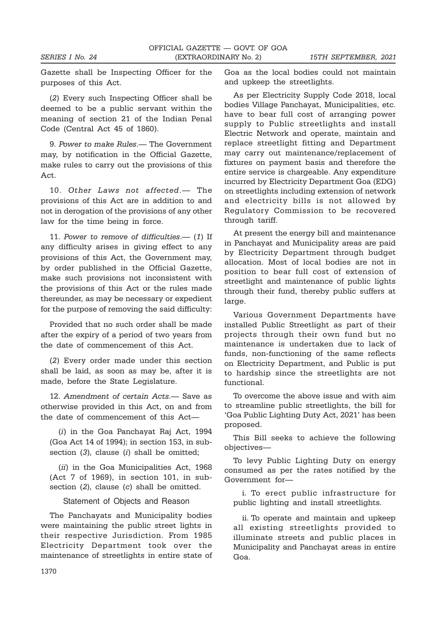Gazette shall be Inspecting Officer for the purposes of this Act.

(*2*) Every such Inspecting Officer shall be deemed to be a public servant within the meaning of section 21 of the Indian Penal Code (Central Act 45 of 1860).

9. *Power to make Rules*.— The Government may, by notification in the Official Gazette, make rules to carry out the provisions of this Act.

10. *Other Laws not affected*.— The provisions of this Act are in addition to and not in derogation of the provisions of any other law for the time being in force.

11. *Power to remove of difficulties*.— (*1*) If any difficulty arises in giving effect to any provisions of this Act, the Government may, by order published in the Official Gazette, make such provisions not inconsistent with the provisions of this Act or the rules made thereunder, as may be necessary or expedient for the purpose of removing the said difficulty:

Provided that no such order shall be made after the expiry of a period of two years from the date of commencement of this Act.

(*2*) Every order made under this section shall be laid, as soon as may be, after it is made, before the State Legislature.

12. *Amendment of certain Acts.*— Save as otherwise provided in this Act, on and from the date of commencement of this Act—

(*i*) in the Goa Panchayat Raj Act, 1994 (Goa Act 14 of 1994); in section 153, in subsection (*3*), clause (*i*) shall be omitted;

(*ii*) in the Goa Municipalities Act, 1968 (Act 7 of 1969), in section 101, in subsection (*2*), clause (*c*) shall be omitted.

Statement of Objects and Reason

The Panchayats and Municipality bodies were maintaining the public street lights in their respective Jurisdiction. From 1985 Electricity Department took over the maintenance of streetlights in entire state of Goa as the local bodies could not maintain and upkeep the streetlights.

As per Electricity Supply Code 2018, local bodies Village Panchayat, Municipalities, etc. have to bear full cost of arranging power supply to Public streetlights and install Electric Network and operate, maintain and replace streetlight fitting and Department may carry out maintenance/replacement of fixtures on payment basis and therefore the entire service is chargeable. Any expenditure incurred by Electricity Department Goa (EDG) on streetlights including extension of network and electricity bills is not allowed by Regulatory Commission to be recovered through tariff.

At present the energy bill and maintenance in Panchayat and Municipality areas are paid by Electricity Department through budget allocation. Most of local bodies are not in position to bear full cost of extension of streetlight and maintenance of public lights through their fund, thereby public suffers at large.

Various Government Departments have installed Public Streetlight as part of their projects through their own fund but no maintenance is undertaken due to lack of funds, non-functioning of the same reflects on Electricity Department, and Public is put to hardship since the streetlights are not functional.

To overcome the above issue and with aim to streamline public streetlights, the bill for 'Goa Public Lighting Duty Act, 2021' has been proposed.

This Bill seeks to achieve the following objectives—

To levy Public Lighting Duty on energy consumed as per the rates notified by the Government for—

i. To erect public infrastructure for public lighting and install streetlights.

ii. To operate and maintain and upkeep all existing streetlights provided to illuminate streets and public places in Municipality and Panchayat areas in entire Goa.